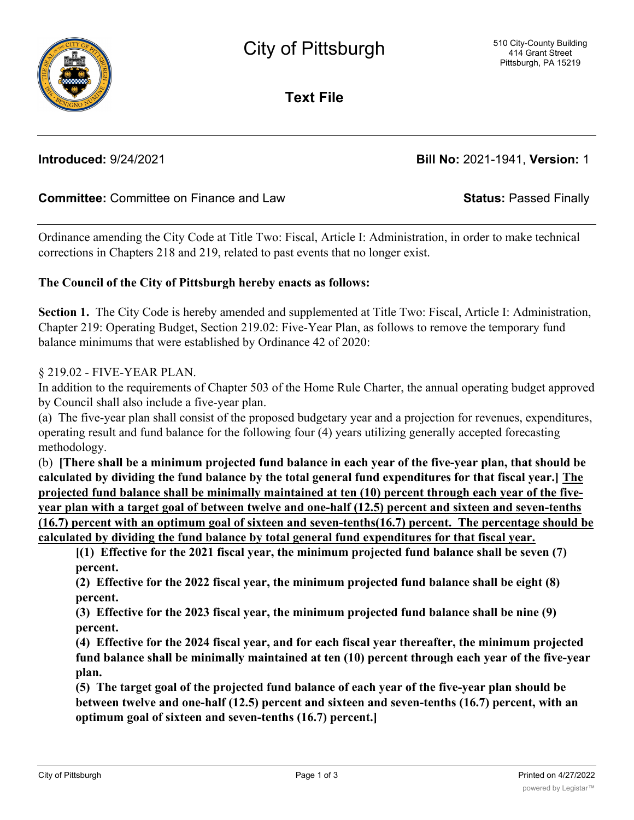**Text File**

**Introduced:** 9/24/2021 **Bill No:** 2021-1941, **Version:** 1

# **Committee:** Committee on Finance and Law **Status:** Passed Finally

Ordinance amending the City Code at Title Two: Fiscal, Article I: Administration, in order to make technical corrections in Chapters 218 and 219, related to past events that no longer exist.

### **The Council of the City of Pittsburgh hereby enacts as follows:**

**Section 1.** The City Code is hereby amended and supplemented at Title Two: Fiscal, Article I: Administration, Chapter 219: Operating Budget, Section 219.02: Five-Year Plan, as follows to remove the temporary fund balance minimums that were established by Ordinance 42 of 2020:

### § 219.02 - FIVE-YEAR PLAN.

In addition to the requirements of Chapter 503 of the Home Rule Charter, the annual operating budget approved by Council shall also include a five-year plan.

(a) The five-year plan shall consist of the proposed budgetary year and a projection for revenues, expenditures, operating result and fund balance for the following four (4) years utilizing generally accepted forecasting methodology.

(b) **[There shall be a minimum projected fund balance in each year of the five-year plan, that should be calculated by dividing the fund balance by the total general fund expenditures for that fiscal year.] The projected fund balance shall be minimally maintained at ten (10) percent through each year of the fiveyear plan with a target goal of between twelve and one-half (12.5) percent and sixteen and seven-tenths (16.7) percent with an optimum goal of sixteen and seven-tenths(16.7) percent. The percentage should be calculated by dividing the fund balance by total general fund expenditures for that fiscal year.**

**[(1) Effective for the 2021 fiscal year, the minimum projected fund balance shall be seven (7) percent.**

**(2) Effective for the 2022 fiscal year, the minimum projected fund balance shall be eight (8) percent.**

**(3) Effective for the 2023 fiscal year, the minimum projected fund balance shall be nine (9) percent.**

**(4) Effective for the 2024 fiscal year, and for each fiscal year thereafter, the minimum projected fund balance shall be minimally maintained at ten (10) percent through each year of the five-year plan.**

**(5) The target goal of the projected fund balance of each year of the five-year plan should be between twelve and one-half (12.5) percent and sixteen and seven-tenths (16.7) percent, with an optimum goal of sixteen and seven-tenths (16.7) percent.]**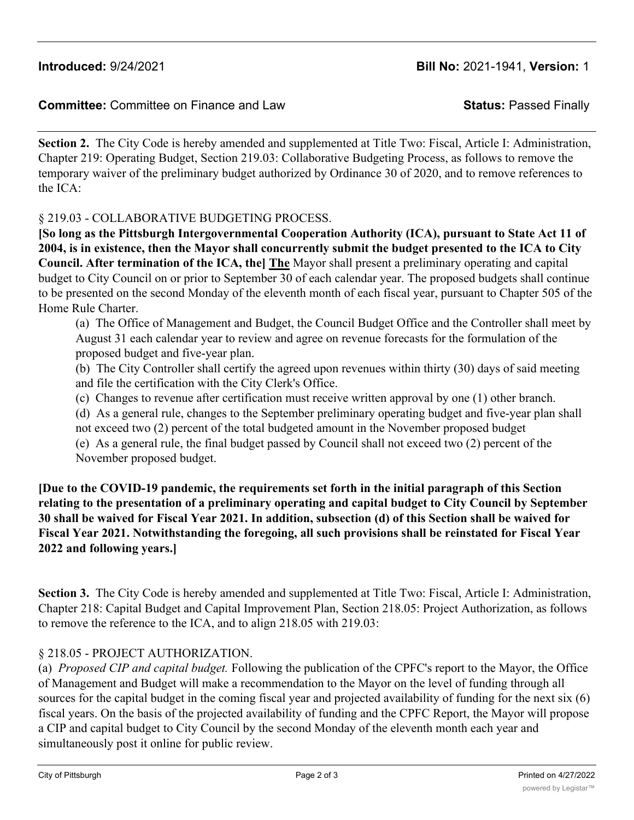## **Committee:** Committee on Finance and Law **Status:** Passed Finally

**Section 2.** The City Code is hereby amended and supplemented at Title Two: Fiscal, Article I: Administration, Chapter 219: Operating Budget, Section 219.03: Collaborative Budgeting Process, as follows to remove the temporary waiver of the preliminary budget authorized by Ordinance 30 of 2020, and to remove references to the ICA:

## § 219.03 - COLLABORATIVE BUDGETING PROCESS.

**[So long as the Pittsburgh Intergovernmental Cooperation Authority (ICA), pursuant to State Act 11 of 2004, is in existence, then the Mayor shall concurrently submit the budget presented to the ICA to City Council. After termination of the ICA, the] The** Mayor shall present a preliminary operating and capital budget to City Council on or prior to September 30 of each calendar year. The proposed budgets shall continue to be presented on the second Monday of the eleventh month of each fiscal year, pursuant to Chapter 505 of the Home Rule Charter.

(a) The Office of Management and Budget, the Council Budget Office and the Controller shall meet by August 31 each calendar year to review and agree on revenue forecasts for the formulation of the proposed budget and five-year plan.

(b) The City Controller shall certify the agreed upon revenues within thirty (30) days of said meeting and file the certification with the City Clerk's Office.

(c) Changes to revenue after certification must receive written approval by one (1) other branch.

(d) As a general rule, changes to the September preliminary operating budget and five-year plan shall not exceed two (2) percent of the total budgeted amount in the November proposed budget (e) As a general rule, the final budget passed by Council shall not exceed two (2) percent of the November proposed budget.

**[Due to the COVID-19 pandemic, the requirements set forth in the initial paragraph of this Section relating to the presentation of a preliminary operating and capital budget to City Council by September 30 shall be waived for Fiscal Year 2021. In addition, subsection (d) of this Section shall be waived for Fiscal Year 2021. Notwithstanding the foregoing, all such provisions shall be reinstated for Fiscal Year 2022 and following years.]**

**Section 3.** The City Code is hereby amended and supplemented at Title Two: Fiscal, Article I: Administration, Chapter 218: Capital Budget and Capital Improvement Plan, Section 218.05: Project Authorization, as follows to remove the reference to the ICA, and to align 218.05 with 219.03:

# § 218.05 - PROJECT AUTHORIZATION.

(a) *Proposed CIP and capital budget.* Following the publication of the CPFC's report to the Mayor, the Office of Management and Budget will make a recommendation to the Mayor on the level of funding through all sources for the capital budget in the coming fiscal year and projected availability of funding for the next six (6) fiscal years. On the basis of the projected availability of funding and the CPFC Report, the Mayor will propose a CIP and capital budget to City Council by the second Monday of the eleventh month each year and simultaneously post it online for public review.